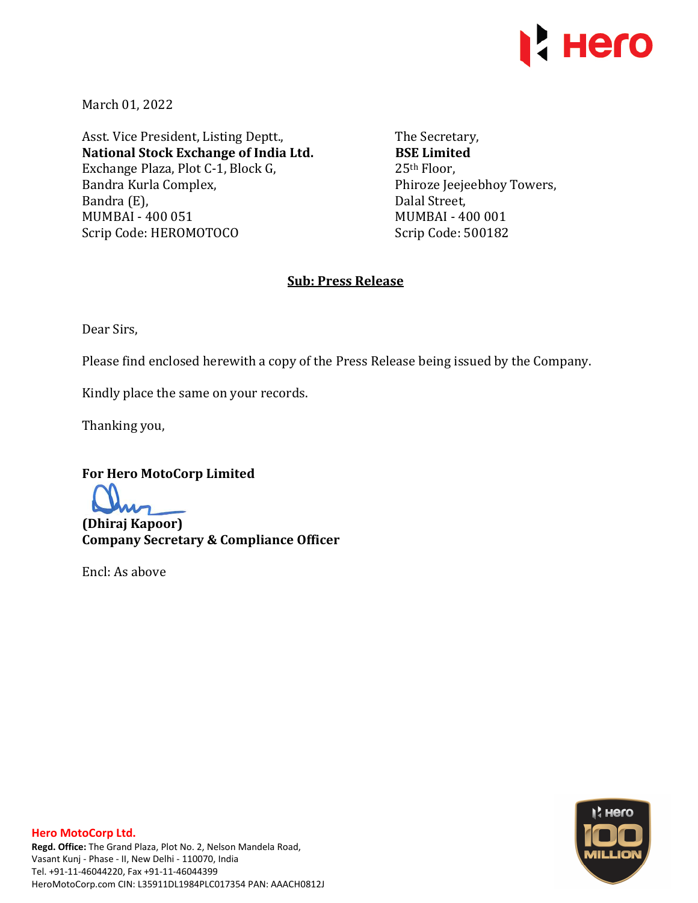

March 01, 2022

Asst. Vice President, Listing Deptt., **National Stock Exchange of India Ltd.**  Exchange Plaza, Plot C-1, Block G, Bandra Kurla Complex, Bandra (E), MUMBAI - 400 051 Scrip Code: HEROMOTOCO

The Secretary, **BSE Limited**  25th Floor, Phiroze Jeejeebhoy Towers, Dalal Street, MUMBAI - 400 001 Scrip Code: 500182

## **Sub: Press Release**

Dear Sirs,

Please find enclosed herewith a copy of the Press Release being issued by the Company.

Kindly place the same on your records.

Thanking you,

**For Hero MotoCorp Limited** 

**(Dhiraj Kapoor) Company Secretary & Compliance Officer** 

Encl: As above

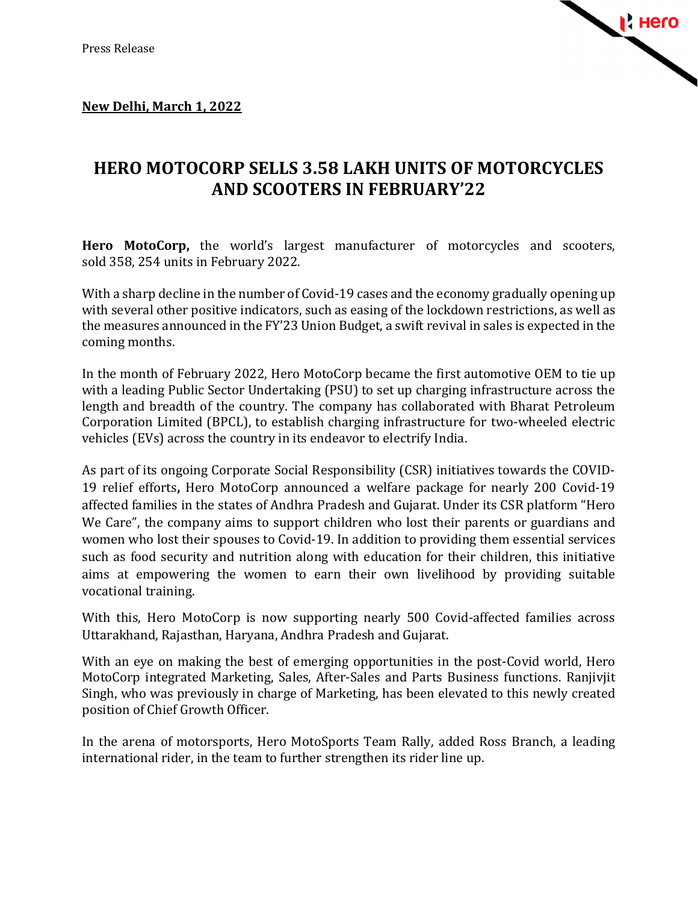

## **New Delhi, March 1, 2022**

## **HERO MOTOCORP SELLS 3.58 LAKH UNITS OF MOTORCYCLES AND SCOOTERS IN FEBRUARY'22**

**Hero MotoCorp,** the world's largest manufacturer of motorcycles and scooters, sold 358, 254 units in February 2022.

With a sharp decline in the number of Covid-19 cases and the economy gradually opening up with several other positive indicators, such as easing of the lockdown restrictions, as well as the measures announced in the FY'23 Union Budget, a swift revival in sales is expected in the coming months.

In the month of February 2022, Hero MotoCorp became the first automotive OEM to tie up with a leading Public Sector Undertaking (PSU) to set up charging infrastructure across the length and breadth of the country. The company has collaborated with Bharat Petroleum Corporation Limited (BPCL), to establish charging infrastructure for two-wheeled electric vehicles (EVs) across the country in its endeavor to electrify India.

As part of its ongoing Corporate Social Responsibility (CSR) initiatives towards the COVID-19 relief efforts**,** Hero MotoCorp announced a welfare package for nearly 200 Covid-19 affected families in the states of Andhra Pradesh and Gujarat. Under its CSR platform "Hero We Care", the company aims to support children who lost their parents or guardians and women who lost their spouses to Covid-19. In addition to providing them essential services such as food security and nutrition along with education for their children, this initiative aims at empowering the women to earn their own livelihood by providing suitable vocational training.

With this, Hero MotoCorp is now supporting nearly 500 Covid-affected families across Uttarakhand, Rajasthan, Haryana, Andhra Pradesh and Gujarat.

With an eye on making the best of emerging opportunities in the post-Covid world, Hero MotoCorp integrated Marketing, Sales, After-Sales and Parts Business functions. Ranjivjit Singh, who was previously in charge of Marketing, has been elevated to this newly created position of Chief Growth Officer.

In the arena of motorsports, Hero MotoSports Team Rally, added Ross Branch, a leading international rider, in the team to further strengthen its rider line up.